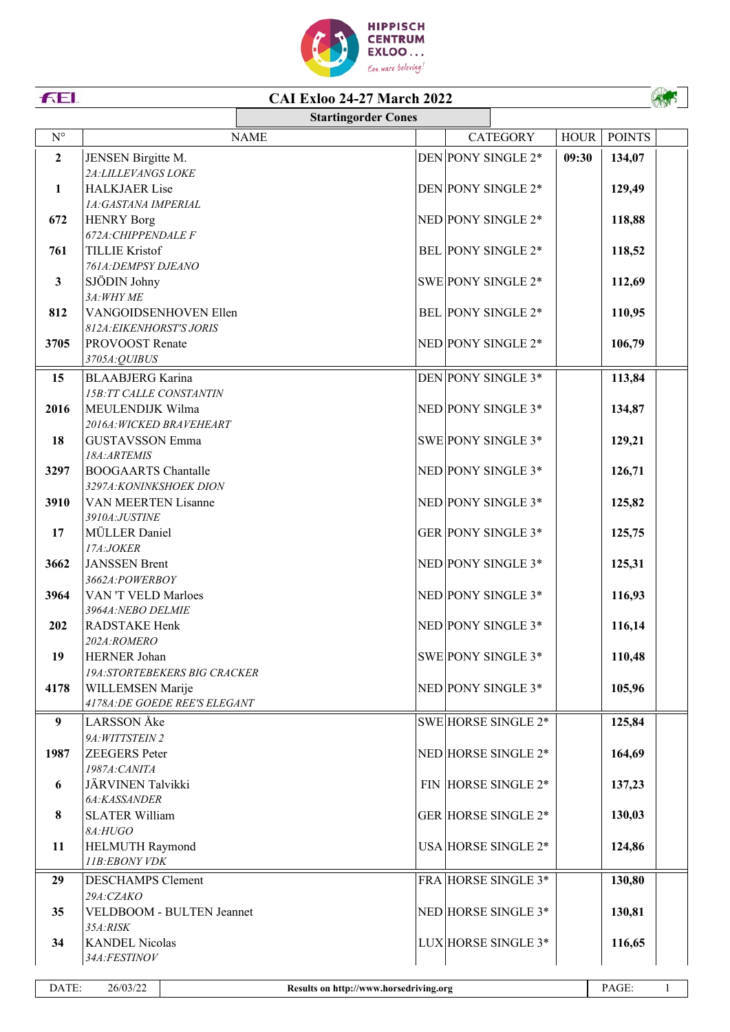

## **CAI Exloo 24-27 March 2022**

|                      |                                                     | <b>Startingorder Cones</b> |  |                            |             |               |  |
|----------------------|-----------------------------------------------------|----------------------------|--|----------------------------|-------------|---------------|--|
| $\mathbf{N}^{\circ}$ |                                                     | <b>NAME</b>                |  | <b>CATEGORY</b>            | <b>HOUR</b> | <b>POINTS</b> |  |
| $\overline{2}$       | JENSEN Birgitte M.                                  |                            |  | DEN PONY SINGLE 2*         | 09:30       | 134,07        |  |
|                      | 2A: LILLEVANGS LOKE                                 |                            |  |                            |             |               |  |
| 1                    | <b>HALKJAER Lise</b>                                |                            |  | DEN PONY SINGLE 2*         |             | 129,49        |  |
|                      | 1A:GASTANA IMPERIAL                                 |                            |  |                            |             |               |  |
| 672                  | <b>HENRY Borg</b>                                   |                            |  | NED PONY SINGLE 2*         |             | 118,88        |  |
|                      | 672A: CHIPPENDALE F                                 |                            |  |                            |             |               |  |
| 761                  | <b>TILLIE Kristof</b>                               |                            |  | BEL PONY SINGLE 2*         |             | 118,52        |  |
|                      | 761A: DEMPSY DJEANO                                 |                            |  |                            |             |               |  |
| $\mathbf{3}$         | SJÖDIN Johny                                        |                            |  | SWE PONY SINGLE 2*         |             | 112,69        |  |
| 812                  | 3A: WHY ME<br>VANGOIDSENHOVEN Ellen                 |                            |  | <b>BEL PONY SINGLE 2*</b>  |             |               |  |
|                      | 812A: EIKENHORST'S JORIS                            |                            |  |                            |             | 110,95        |  |
| 3705                 | PROVOOST Renate                                     |                            |  | NED PONY SINGLE 2*         |             | 106,79        |  |
|                      | 3705A:QUIBUS                                        |                            |  |                            |             |               |  |
| 15                   | <b>BLAABJERG</b> Karina                             |                            |  | DEN PONY SINGLE 3*         |             | 113,84        |  |
|                      | 15B:TT CALLE CONSTANTIN                             |                            |  |                            |             |               |  |
| 2016                 | MEULENDIJK Wilma                                    |                            |  | NED PONY SINGLE 3*         |             | 134,87        |  |
|                      | 2016A: WICKED BRAVEHEART                            |                            |  |                            |             |               |  |
| 18                   | <b>GUSTAVSSON Emma</b>                              |                            |  | SWE PONY SINGLE 3*         |             | 129,21        |  |
|                      | 18A:ARTEMIS                                         |                            |  |                            |             |               |  |
| 3297                 | <b>BOOGAARTS Chantalle</b>                          |                            |  | NED PONY SINGLE 3*         |             | 126,71        |  |
|                      | 3297A: KONINKSHOEK DION                             |                            |  |                            |             |               |  |
| 3910                 | VAN MEERTEN Lisanne                                 |                            |  | NED PONY SINGLE 3*         |             | 125,82        |  |
| 17                   | 3910A:JUSTINE<br>MÜLLER Daniel                      |                            |  | GER PONY SINGLE 3*         |             | 125,75        |  |
|                      | 17A:JOKER                                           |                            |  |                            |             |               |  |
| 3662                 | <b>JANSSEN Brent</b>                                |                            |  | NED PONY SINGLE 3*         |             | 125,31        |  |
|                      | 3662A:POWERBOY                                      |                            |  |                            |             |               |  |
| 3964                 | VAN 'T VELD Marloes                                 |                            |  | NED PONY SINGLE 3*         |             | 116,93        |  |
|                      | 3964A:NEBO DELMIE                                   |                            |  |                            |             |               |  |
| 202                  | RADSTAKE Henk                                       |                            |  | NED PONY SINGLE 3*         |             | 116,14        |  |
|                      | 202A:ROMERO                                         |                            |  |                            |             |               |  |
| 19                   | HERNER Johan<br><b>19A:STORTEBEKERS BIG CRACKER</b> |                            |  | SWE PONY SINGLE 3*         |             | 110,48        |  |
| 4178                 | WILLEMSEN Marije                                    |                            |  | NED PONY SINGLE 3*         |             | 105,96        |  |
|                      | 4178A: DE GOEDE REE'S ELEGANT                       |                            |  |                            |             |               |  |
| 9                    | LARSSON Åke                                         |                            |  | SWE HORSE SINGLE 2*        |             | 125,84        |  |
|                      | 9A: WITTSTEIN 2                                     |                            |  |                            |             |               |  |
| 1987                 | <b>ZEEGERS</b> Peter                                |                            |  | NED HORSE SINGLE 2*        |             | 164,69        |  |
|                      | 1987A: CANITA                                       |                            |  |                            |             |               |  |
| 6                    | JÄRVINEN Talvikki                                   |                            |  | FIN HORSE SINGLE 2*        |             | 137,23        |  |
|                      | 6A:KASSANDER                                        |                            |  |                            |             |               |  |
| 8                    | <b>SLATER William</b>                               |                            |  | <b>GER HORSE SINGLE 2*</b> |             | 130,03        |  |
| 11                   | 8A:HUGO<br>HELMUTH Raymond                          |                            |  | USA HORSE SINGLE 2*        |             | 124,86        |  |
|                      | 11B:EBONY VDK                                       |                            |  |                            |             |               |  |
| 29                   | <b>DESCHAMPS</b> Clement                            |                            |  | FRA HORSE SINGLE 3*        |             | 130,80        |  |
|                      | 29A:CZAKO                                           |                            |  |                            |             |               |  |
| 35                   | VELDBOOM - BULTEN Jeannet                           |                            |  | NED HORSE SINGLE 3*        |             | 130,81        |  |
|                      | 35A:RISK                                            |                            |  |                            |             |               |  |
| 34                   | <b>KANDEL Nicolas</b>                               |                            |  | LUX HORSE SINGLE 3*        |             | 116,65        |  |
|                      | 34A:FESTINOV                                        |                            |  |                            |             |               |  |

FEI.

AND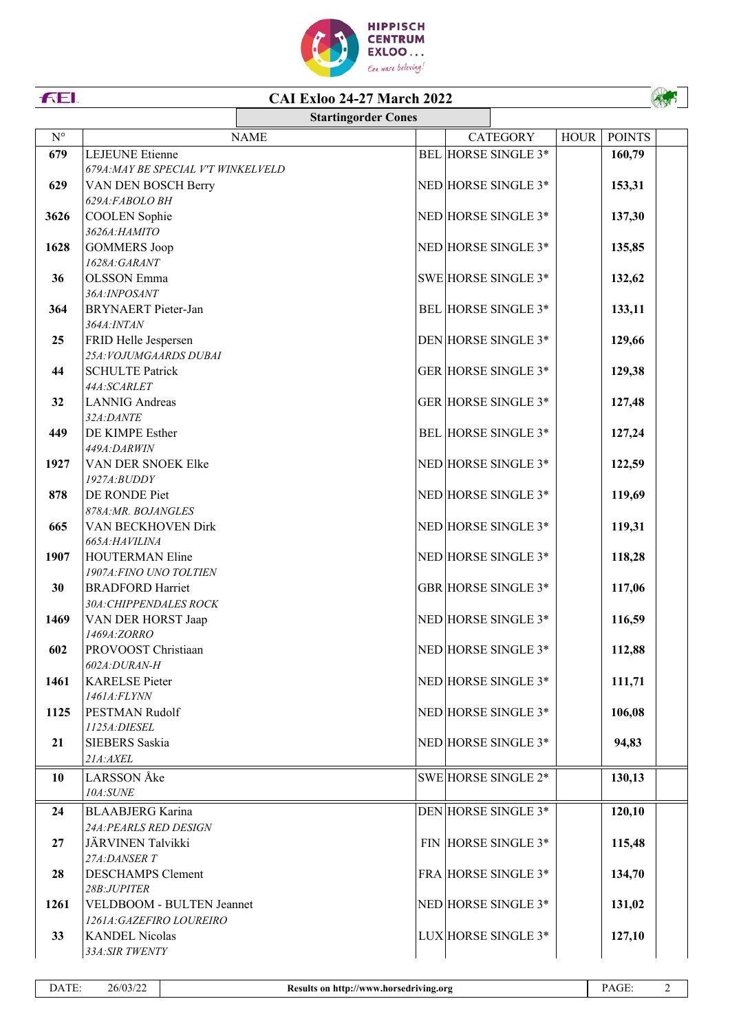

## **CAI Exloo 24-27 March 2022**

|             |                                          | <b>Startingorder Cones</b> |  |                            |             |               |  |
|-------------|------------------------------------------|----------------------------|--|----------------------------|-------------|---------------|--|
| $N^{\circ}$ |                                          | <b>NAME</b>                |  | <b>CATEGORY</b>            | <b>HOUR</b> | <b>POINTS</b> |  |
| 679         | <b>LEJEUNE</b> Etienne                   |                            |  | BEL HORSE SINGLE 3*        |             | 160,79        |  |
|             | 679A: MAY BE SPECIAL V'T WINKELVELD      |                            |  |                            |             |               |  |
| 629         | VAN DEN BOSCH Berry                      |                            |  | NED HORSE SINGLE 3*        |             | 153,31        |  |
|             | 629A:FABOLO BH                           |                            |  |                            |             |               |  |
| 3626        | <b>COOLEN</b> Sophie                     |                            |  | NED HORSE SINGLE 3*        |             | 137,30        |  |
|             | 3626А:НАМІТО                             |                            |  |                            |             |               |  |
| 1628        | <b>GOMMERS Joop</b>                      |                            |  | NED HORSE SINGLE 3*        |             | 135,85        |  |
|             | 1628A:GARANT                             |                            |  |                            |             |               |  |
| 36          | <b>OLSSON</b> Emma                       |                            |  | SWE HORSE SINGLE 3*        |             | 132,62        |  |
|             | 36A: INPOSANT                            |                            |  |                            |             |               |  |
| 364         | <b>BRYNAERT</b> Pieter-Jan               |                            |  | BEL HORSE SINGLE 3*        |             | 133,11        |  |
|             | 364A: INTAN                              |                            |  |                            |             |               |  |
| 25          | FRID Helle Jespersen                     |                            |  | DEN HORSE SINGLE 3*        |             | 129,66        |  |
|             | 25A: VOJUMGAARDS DUBAI                   |                            |  | <b>GER HORSE SINGLE 3*</b> |             |               |  |
| 44          | <b>SCHULTE Patrick</b><br>44A:SCARLET    |                            |  |                            |             | 129,38        |  |
| 32          | <b>LANNIG</b> Andreas                    |                            |  | <b>GER HORSE SINGLE 3*</b> |             | 127,48        |  |
|             | 32A:DANTE                                |                            |  |                            |             |               |  |
| 449         | DE KIMPE Esther                          |                            |  | BEL HORSE SINGLE 3*        |             | 127,24        |  |
|             | 449A:DARWIN                              |                            |  |                            |             |               |  |
| 1927        | VAN DER SNOEK Elke                       |                            |  | NED HORSE SINGLE 3*        |             | 122,59        |  |
|             | $1927A$ : $BUDDY$                        |                            |  |                            |             |               |  |
| 878         | DE RONDE Piet                            |                            |  | NED HORSE SINGLE 3*        |             | 119,69        |  |
|             | 878A:MR. BOJANGLES                       |                            |  |                            |             |               |  |
| 665         | VAN BECKHOVEN Dirk                       |                            |  | NED HORSE SINGLE 3*        |             | 119,31        |  |
|             | 665A:HAVILINA                            |                            |  |                            |             |               |  |
| 1907        | <b>HOUTERMAN Eline</b>                   |                            |  | NED HORSE SINGLE 3*        |             | 118,28        |  |
|             | 1907A: FINO UNO TOLTIEN                  |                            |  |                            |             |               |  |
| 30          | <b>BRADFORD Harriet</b>                  |                            |  | GBR HORSE SINGLE 3*        |             | 117,06        |  |
|             | 30A: CHIPPENDALES ROCK                   |                            |  |                            |             |               |  |
| 1469        | VAN DER HORST Jaap<br>1469A:ZORRO        |                            |  | NED HORSE SINGLE 3*        |             | 116,59        |  |
| 602         | PROVOOST Christiaan                      |                            |  | NED HORSE SINGLE 3*        |             | 112,88        |  |
|             | 602A:DURAN-H                             |                            |  |                            |             |               |  |
| 1461        | <b>KARELSE</b> Pieter                    |                            |  | NED HORSE SINGLE 3*        |             | 111,71        |  |
|             | 1461A:FLYNN                              |                            |  |                            |             |               |  |
| 1125        | PESTMAN Rudolf                           |                            |  | NED HORSE SINGLE 3*        |             | 106,08        |  |
|             | 1125A: DIESEL                            |                            |  |                            |             |               |  |
| 21          | <b>SIEBERS</b> Saskia                    |                            |  | NED HORSE SINGLE 3*        |             | 94,83         |  |
|             | 21A:AXEL                                 |                            |  |                            |             |               |  |
| 10          | LARSSON Åke                              |                            |  | SWE HORSE SINGLE 2*        |             | 130,13        |  |
|             | 10A:SUNE                                 |                            |  |                            |             |               |  |
| 24          | <b>BLAABJERG</b> Karina                  |                            |  | DEN HORSE SINGLE 3*        |             | 120,10        |  |
|             | 24A: PEARLS RED DESIGN                   |                            |  |                            |             |               |  |
| 27          | JÄRVINEN Talvikki                        |                            |  | FIN HORSE SINGLE 3*        |             | 115,48        |  |
|             | 27A:DANSER T                             |                            |  |                            |             |               |  |
| 28          | <b>DESCHAMPS Clement</b>                 |                            |  | FRA HORSE SINGLE 3*        |             | 134,70        |  |
|             | 28B:JUPITER                              |                            |  |                            |             |               |  |
| 1261        | VELDBOOM - BULTEN Jeannet                |                            |  | NED HORSE SINGLE 3*        |             | 131,02        |  |
|             | 1261A: GAZEFIRO LOUREIRO                 |                            |  |                            |             |               |  |
| 33          | <b>KANDEL Nicolas</b><br>33A: SIR TWENTY |                            |  | LUX HORSE SINGLE 3*        |             | 127,10        |  |
|             |                                          |                            |  |                            |             |               |  |

FEI.

Av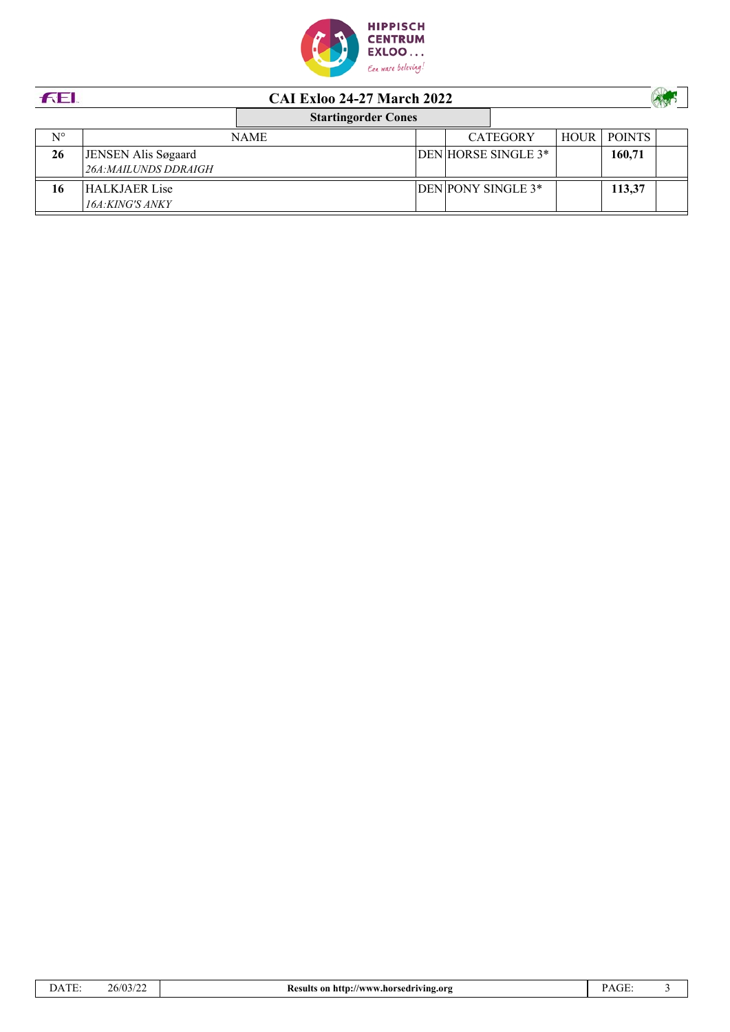

| <b>FEL</b>  | <b>CAI Exloo 24-27 March 2022</b> |             |  |  |                     |             |               |  |
|-------------|-----------------------------------|-------------|--|--|---------------------|-------------|---------------|--|
|             | <b>Startingorder Cones</b>        |             |  |  |                     |             |               |  |
| $N^{\circ}$ |                                   | <b>NAME</b> |  |  | <b>CATEGORY</b>     | <b>HOUR</b> | <b>POINTS</b> |  |
| 26          | JENSEN Alis Søgaard               |             |  |  | DEN HORSE SINGLE 3* |             | 160,71        |  |
|             | 26A: MAILUNDS DDRAIGH             |             |  |  |                     |             |               |  |
| 16          | <b>HALKJAER Lise</b>              |             |  |  | DEN PONY SINGLE 3*  |             | 113,37        |  |
|             | 16A:KING'S ANKY                   |             |  |  |                     |             |               |  |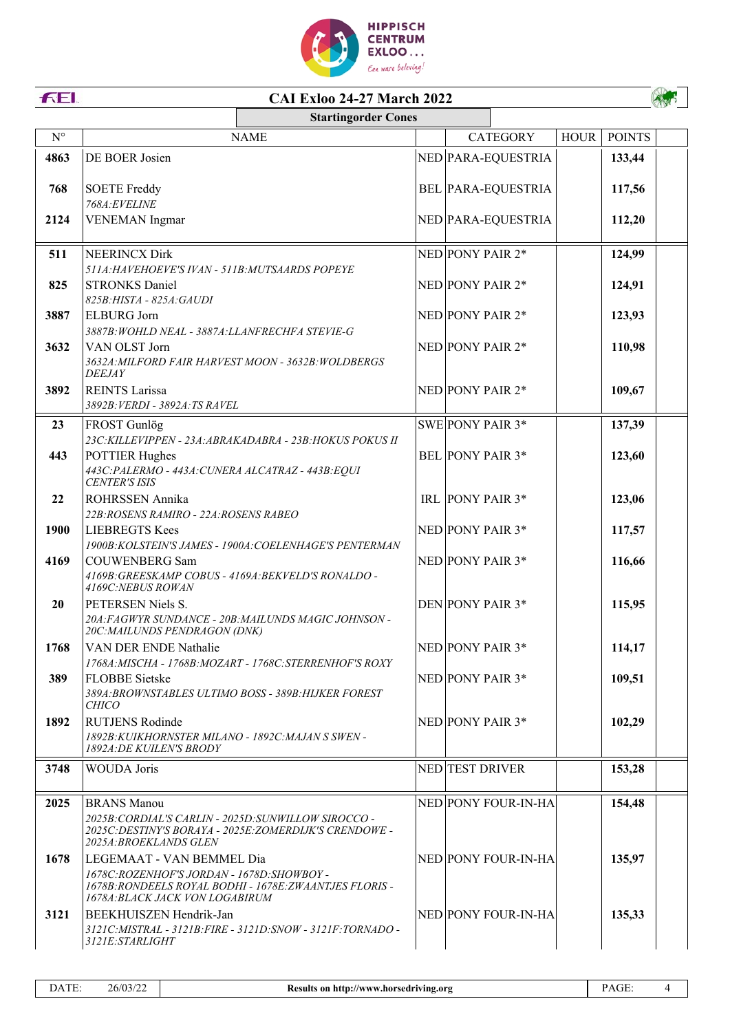

| FEI.                 | <b>CAI Exloo 24-27 March 2022</b>                                                       |  |                           |             |               |  |  |  |  |  |
|----------------------|-----------------------------------------------------------------------------------------|--|---------------------------|-------------|---------------|--|--|--|--|--|
|                      | <b>Startingorder Cones</b>                                                              |  |                           |             |               |  |  |  |  |  |
| $\mathbf{N}^{\circ}$ | <b>NAME</b>                                                                             |  | <b>CATEGORY</b>           | <b>HOUR</b> | <b>POINTS</b> |  |  |  |  |  |
| 4863                 | DE BOER Josien                                                                          |  | NED PARA-EQUESTRIA        |             | 133,44        |  |  |  |  |  |
|                      |                                                                                         |  |                           |             |               |  |  |  |  |  |
| 768                  | <b>SOETE Freddy</b>                                                                     |  | <b>BEL PARA-EQUESTRIA</b> |             | 117,56        |  |  |  |  |  |
| 2124                 | 768A:EVELINE<br><b>VENEMAN</b> Ingmar                                                   |  | NED PARA-EQUESTRIA        |             | 112,20        |  |  |  |  |  |
|                      |                                                                                         |  |                           |             |               |  |  |  |  |  |
| 511                  | <b>NEERINCX Dirk</b>                                                                    |  | NED PONY PAIR 2*          |             | 124,99        |  |  |  |  |  |
|                      | 511A: HAVEHOEVE'S IVAN - 511B: MUTSAARDS POPEYE                                         |  |                           |             |               |  |  |  |  |  |
| 825                  | <b>STRONKS Daniel</b>                                                                   |  | NED PONY PAIR 2*          |             | 124,91        |  |  |  |  |  |
|                      | 825B: HISTA - 825A: GAUDI                                                               |  |                           |             |               |  |  |  |  |  |
| 3887                 | <b>ELBURG</b> Jorn                                                                      |  | NED PONY PAIR 2*          |             | 123,93        |  |  |  |  |  |
|                      | 3887B: WOHLD NEAL - 3887A: LLANFRECHFA STEVIE-G                                         |  |                           |             |               |  |  |  |  |  |
| 3632                 | VAN OLST Jorn                                                                           |  | NED PONY PAIR 2*          |             | 110,98        |  |  |  |  |  |
|                      | 3632A: MILFORD FAIR HARVEST MOON - 3632B: WOLDBERGS<br><b>DEEJAY</b>                    |  |                           |             |               |  |  |  |  |  |
| 3892                 | <b>REINTS Larissa</b>                                                                   |  | NED PONY PAIR 2*          |             | 109,67        |  |  |  |  |  |
|                      | 3892B: VERDI - 3892A: TS RAVEL                                                          |  |                           |             |               |  |  |  |  |  |
| 23                   | FROST Gunlög                                                                            |  | SWE PONY PAIR 3*          |             | 137,39        |  |  |  |  |  |
|                      | 23C: KILLEVIPPEN - 23A: ABRAKADABRA - 23B: HOKUS POKUS II                               |  |                           |             |               |  |  |  |  |  |
| 443                  | <b>POTTIER Hughes</b>                                                                   |  | <b>BEL PONY PAIR 3*</b>   |             | 123,60        |  |  |  |  |  |
|                      | 443C:PALERMO - 443A:CUNERA ALCATRAZ - 443B:EQUI                                         |  |                           |             |               |  |  |  |  |  |
|                      | <b>CENTER'S ISIS</b>                                                                    |  |                           |             |               |  |  |  |  |  |
| 22                   | ROHRSSEN Annika                                                                         |  | IRL PONY PAIR 3*          |             | 123,06        |  |  |  |  |  |
| 1900                 | 22B: ROSENS RAMIRO - 22A: ROSENS RABEO<br><b>LIEBREGTS Kees</b>                         |  | NED PONY PAIR 3*          |             | 117,57        |  |  |  |  |  |
|                      | 1900B: KOLSTEIN'S JAMES - 1900A: COELENHAGE'S PENTERMAN                                 |  |                           |             |               |  |  |  |  |  |
| 4169                 | <b>COUWENBERG Sam</b>                                                                   |  | NED PONY PAIR 3*          |             | 116,66        |  |  |  |  |  |
|                      | 4169B: GREESKAMP COBUS - 4169A: BEKVELD'S RONALDO -                                     |  |                           |             |               |  |  |  |  |  |
|                      | 4169C: NEBUS ROWAN                                                                      |  |                           |             |               |  |  |  |  |  |
| 20                   | PETERSEN Niels S.                                                                       |  | DEN PONY PAIR 3*          |             | 115,95        |  |  |  |  |  |
|                      | 20A: FAGWYR SUNDANCE - 20B: MAILUNDS MAGIC JOHNSON -<br>20C: MAILUNDS PENDRAGON (DNK)   |  |                           |             |               |  |  |  |  |  |
| 1768                 | VAN DER ENDE Nathalie                                                                   |  | NED PONY PAIR 3*          |             | 114,17        |  |  |  |  |  |
|                      | 1768A: MISCHA - 1768B: MOZART - 1768C: STERRENHOF'S ROXY                                |  |                           |             |               |  |  |  |  |  |
| 389                  | <b>FLOBBE</b> Sietske                                                                   |  | NED PONY PAIR 3*          |             | 109,51        |  |  |  |  |  |
|                      | 389A: BROWNSTABLES ULTIMO BOSS - 389B: HIJKER FOREST<br><i>CHICO</i>                    |  |                           |             |               |  |  |  |  |  |
| 1892                 | <b>RUTJENS Rodinde</b>                                                                  |  | NED PONY PAIR 3*          |             | 102,29        |  |  |  |  |  |
|                      | 1892B: KUIKHORNSTER MILANO - 1892C: MAJAN S SWEN -<br>$18024 \cdot$ DE KLIII EM'S RRODV |  |                           |             |               |  |  |  |  |  |

|      | <i>1892A:DE KUILEN'S BRODY</i>                                                                                                                                        |                     |        |  |
|------|-----------------------------------------------------------------------------------------------------------------------------------------------------------------------|---------------------|--------|--|
| 3748 | <b>WOUDA</b> Joris                                                                                                                                                    | NED TEST DRIVER     | 153,28 |  |
| 2025 | <b>BRANS</b> Manou<br>2025B: CORDIAL'S CARLIN - 2025D: SUNWILLOW SIROCCO -<br>2025C.DESTINY'S BORAYA - 2025E:ZOMERDIJK'S CRENDOWE -<br><i>2025A: BROEKLANDS GLEN</i>  | NED PONY FOUR-IN-HA | 154,48 |  |
| 1678 | LEGEMAAT - VAN BEMMEL Dia<br>1678C: ROZENHOF'S JORDAN - 1678D: SHOWBOY -<br>1678B: RONDEELS ROYAL BODHI - 1678E: ZWAANTJES FLORIS -<br>1678A:BLACK JACK VON LOGABIRUM | NED PONY FOUR-IN-HA | 135,97 |  |
| 3121 | BEEKHUISZEN Hendrik-Jan<br>3121C.MISTRAL - 3121B:FIRE - 3121D:SNOW - 3121F:TORNADO -<br><i>3121E:STARLIGHT</i>                                                        | NED PONY FOUR-IN-HA | 135,33 |  |

 $\overline{4}$